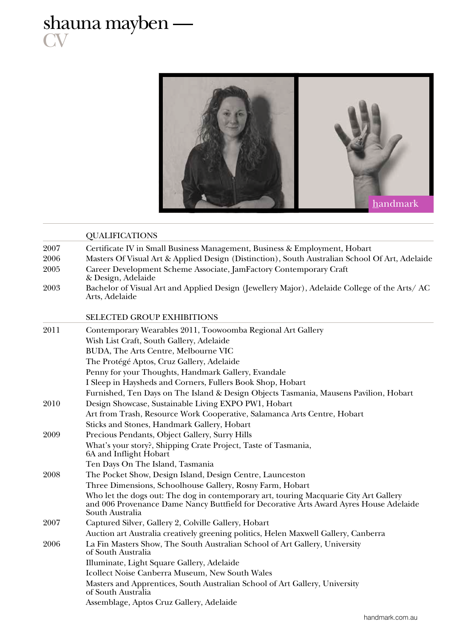## shauna mayben — **CV**



|      | <b>QUALIFICATIONS</b>                                                                                                                                                                              |  |  |
|------|----------------------------------------------------------------------------------------------------------------------------------------------------------------------------------------------------|--|--|
| 2007 | Certificate IV in Small Business Management, Business & Employment, Hobart                                                                                                                         |  |  |
| 2006 | Masters Of Visual Art & Applied Design (Distinction), South Australian School Of Art, Adelaide                                                                                                     |  |  |
| 2005 | Career Development Scheme Associate, JamFactory Contemporary Craft<br>& Design, Adelaide                                                                                                           |  |  |
| 2003 | Bachelor of Visual Art and Applied Design (Jewellery Major), Adelaide College of the Arts/AC<br>Arts, Adelaide                                                                                     |  |  |
|      | <b>SELECTED GROUP EXHIBITIONS</b>                                                                                                                                                                  |  |  |
| 2011 | Contemporary Wearables 2011, Toowoomba Regional Art Gallery                                                                                                                                        |  |  |
|      | Wish List Craft, South Gallery, Adelaide                                                                                                                                                           |  |  |
|      | BUDA, The Arts Centre, Melbourne VIC                                                                                                                                                               |  |  |
|      | The Protégé Aptos, Cruz Gallery, Adelaide                                                                                                                                                          |  |  |
|      | Penny for your Thoughts, Handmark Gallery, Evandale                                                                                                                                                |  |  |
|      | I Sleep in Haysheds and Corners, Fullers Book Shop, Hobart                                                                                                                                         |  |  |
|      | Furnished, Ten Days on The Island & Design Objects Tasmania, Mausens Pavilion, Hobart                                                                                                              |  |  |
| 2010 | Design Showcase, Sustainable Living EXPO PW1, Hobart                                                                                                                                               |  |  |
|      | Art from Trash, Resource Work Cooperative, Salamanca Arts Centre, Hobart                                                                                                                           |  |  |
|      | Sticks and Stones, Handmark Gallery, Hobart                                                                                                                                                        |  |  |
| 2009 | Precious Pendants, Object Gallery, Surry Hills                                                                                                                                                     |  |  |
|      | What's your story?, Shipping Crate Project, Taste of Tasmania,<br>6A and Inflight Hobart                                                                                                           |  |  |
|      | Ten Days On The Island, Tasmania                                                                                                                                                                   |  |  |
| 2008 | The Pocket Show, Design Island, Design Centre, Launceston                                                                                                                                          |  |  |
|      | Three Dimensions, Schoolhouse Gallery, Rosny Farm, Hobart                                                                                                                                          |  |  |
|      | Who let the dogs out: The dog in contemporary art, touring Macquarie City Art Gallery<br>and 006 Provenance Dame Nancy Buttfield for Decorative Arts Award Ayres House Adelaide<br>South Australia |  |  |
| 2007 | Captured Silver, Gallery 2, Colville Gallery, Hobart                                                                                                                                               |  |  |
|      | Auction art Australia creatively greening politics, Helen Maxwell Gallery, Canberra                                                                                                                |  |  |
| 2006 | La Fin Masters Show, The South Australian School of Art Gallery, University<br>of South Australia                                                                                                  |  |  |
|      | Illuminate, Light Square Gallery, Adelaide                                                                                                                                                         |  |  |
|      | Icollect Noise Canberra Museum, New South Wales                                                                                                                                                    |  |  |
|      | Masters and Apprentices, South Australian School of Art Gallery, University<br>of South Australia                                                                                                  |  |  |
|      | Assemblage, Aptos Cruz Gallery, Adelaide                                                                                                                                                           |  |  |
|      |                                                                                                                                                                                                    |  |  |